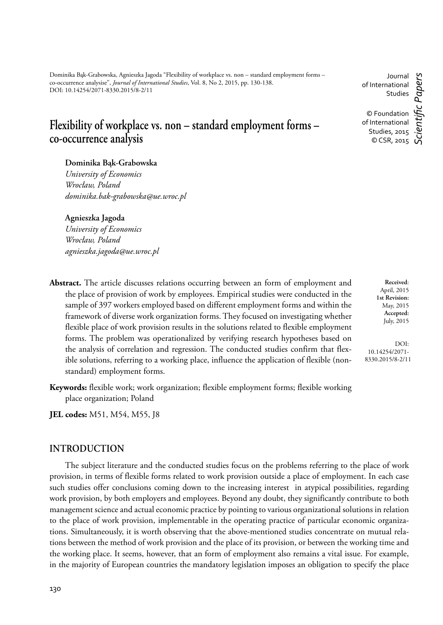Dominika Bąk-Grabowska, Agnieszka Jagoda "Flexibility of workplace vs. non – standard employment forms – co-occurrence analysise", *Journal of International Studies*, Vol. 8, No 2, 2015, pp. 130-138. DOI: 10.14254/2071-8330.2015/8-2/11

# **Flexibility of workplace vs. non – standard employment forms – co-occurrence analysis**

#### **Dominika Bąk-Grabowska**

*University of Economics Wrocław, Poland dominika.bak-grabowska@ue.wroc.pl*

#### **Agnieszka Jagoda**

*University of Economics Wrocław, Poland agnieszka.jagoda@ue.wroc.pl*

**Abstract.** The article discusses relations occurring between an form of employment and the place of provision of work by employees. Empirical studies were conducted in the sample of 397 workers employed based on different employment forms and within the framework of diverse work organization forms. They focused on investigating whether flexible place of work provision results in the solutions related to flexible employment forms. The problem was operationalized by verifying research hypotheses based on the analysis of correlation and regression. The conducted studies confirm that flexible solutions, referring to a working place, influence the application of flexible (nonstandard) employment forms.

**Keywords:** flexible work; work organization; flexible employment forms; flexible working place organization; Poland

**JEL codes:** M51, M54, M55, J8

## **INTRODUCTION**

The subject literature and the conducted studies focus on the problems referring to the place of work provision, in terms of flexible forms related to work provision outside a place of employment. In each case such studies offer conclusions coming down to the increasing interest in atypical possibilities, regarding work provision, by both employers and employees. Beyond any doubt, they significantly contribute to both management science and actual economic practice by pointing to various organizational solutions in relation to the place of work provision, implementable in the operating practice of particular economic organizations. Simultaneously, it is worth observing that the above-mentioned studies concentrate on mutual relations between the method of work provision and the place of its provision, or between the working time and the working place. It seems, however, that an form of employment also remains a vital issue. For example, in the majority of European countries the mandatory legislation imposes an obligation to specify the place

**Received**: April, 2015 **1st Revision:** May, 2015 **Accepted:** July, 2015

DOI: 10.14254/2071- 8330.2015/8-2/11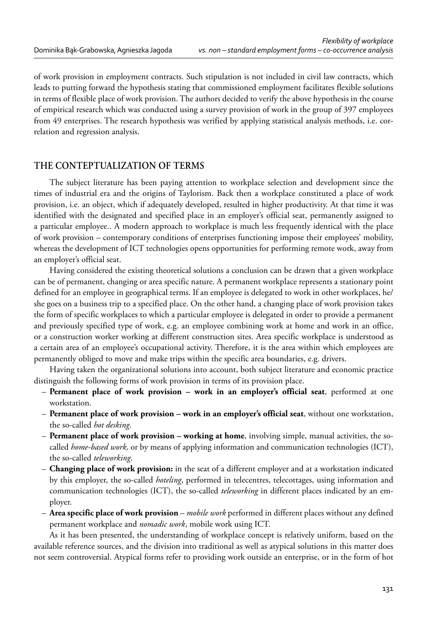of work provision in employment contracts. Such stipulation is not included in civil law contracts, which leads to putting forward the hypothesis stating that commissioned employment facilitates flexible solutions in terms of flexible place of work provision. The authors decided to verify the above hypothesis in the course of empirical research which was conducted using a survey provision of work in the group of 397 employees from 49 enterprises. The research hypothesis was verified by applying statistical analysis methods, i.e. correlation and regression analysis.

# **THE CONTEPTUALIZATION OF TERMS**

The subject literature has been paying attention to workplace selection and development since the times of industrial era and the origins of Taylorism. Back then a workplace constituted a place of work provision, i.e. an object, which if adequately developed, resulted in higher productivity. At that time it was identified with the designated and specified place in an employer's official seat, permanently assigned to a particular employee.. A modern approach to workplace is much less frequently identical with the place of work provision – contemporary conditions of enterprises functioning impose their employees' mobility, whereas the development of ICT technologies opens opportunities for performing remote work, away from an employer's official seat.

Having considered the existing theoretical solutions a conclusion can be drawn that a given workplace can be of permanent, changing or area specific nature. A permanent workplace represents a stationary point defined for an employee in geographical terms. If an employee is delegated to work in other workplaces, he/ she goes on a business trip to a specified place. On the other hand, a changing place of work provision takes the form of specific workplaces to which a particular employee is delegated in order to provide a permanent and previously specified type of work, e.g. an employee combining work at home and work in an office, or a construction worker working at different construction sites. Area specific workplace is understood as a certain area of an employee's occupational activity. Therefore, it is the area within which employees are permanently obliged to move and make trips within the specific area boundaries, e.g. drivers.

Having taken the organizational solutions into account, both subject literature and economic practice distinguish the following forms of work provision in terms of its provision place.

- **Permanent place of work provision work in an employer's official seat**, performed at one workstation.
- **Permanent place of work provision work in an employer's official seat**, without one workstation, the so-called *hot desking*.
- **Permanent place of work provision working at home**, involving simple, manual activities, the socalled *home-based work,* or by means of applying information and communication technologies (ICT), the so-called *teleworking*.
- **Changing place of work provision:** in the seat of a different employer and at a workstation indicated by this employer, the so-called *hoteling*, performed in telecentres, telecottages, using information and communication technologies (ICT), the so-called *teleworking* in different places indicated by an employer.
- **Area specific place of work provision**  *mobile work* performed in different places without any defined permanent workplace and *nomadic work*, mobile work using ICT.

As it has been presented, the understanding of workplace concept is relatively uniform, based on the available reference sources, and the division into traditional as well as atypical solutions in this matter does not seem controversial. Atypical forms refer to providing work outside an enterprise, or in the form of hot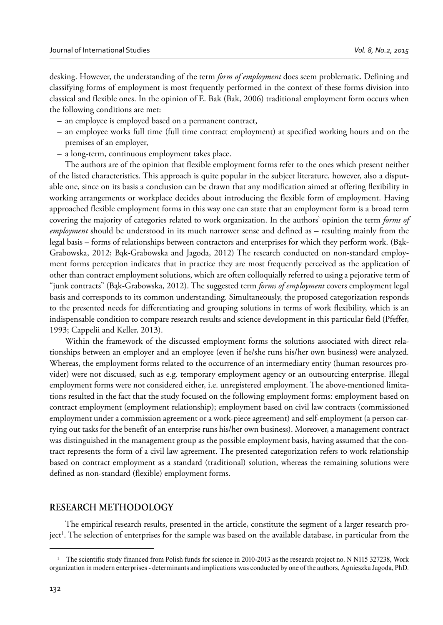desking. However, the understanding of the term *form of employment* does seem problematic. Defining and classifying forms of employment is most frequently performed in the context of these forms division into classical and flexible ones. In the opinion of E. Bak (Bak, 2006) traditional employment form occurs when the following conditions are met:

- an employee is employed based on a permanent contract,
- an employee works full time (full time contract employment) at specified working hours and on the premises of an employer,
- a long-term, continuous employment takes place.

The authors are of the opinion that flexible employment forms refer to the ones which present neither of the listed characteristics. This approach is quite popular in the subject literature, however, also a disputable one, since on its basis a conclusion can be drawn that any modification aimed at offering flexibility in working arrangements or workplace decides about introducing the flexible form of employment. Having approached flexible employment forms in this way one can state that an employment form is a broad term covering the majority of categories related to work organization. In the authors' opinion the term *forms of employment* should be understood in its much narrower sense and defined as – resulting mainly from the legal basis – forms of relationships between contractors and enterprises for which they perform work. (Bąk-Grabowska, 2012; Bąk-Grabowska and Jagoda, 2012) The research conducted on non-standard employment forms perception indicates that in practice they are most frequently perceived as the application of other than contract employment solutions, which are often colloquially referred to using a pejorative term of "junk contracts" (Bąk-Grabowska, 2012). The suggested term *forms of employment* covers employment legal basis and corresponds to its common understanding. Simultaneously, the proposed categorization responds to the presented needs for differentiating and grouping solutions in terms of work flexibility, which is an indispensable condition to compare research results and science development in this particular field (Pfeffer, 1993; Cappelii and Keller, 2013).

Within the framework of the discussed employment forms the solutions associated with direct relationships between an employer and an employee (even if he/she runs his/her own business) were analyzed. Whereas, the employment forms related to the occurrence of an intermediary entity (human resources provider) were not discussed, such as e.g. temporary employment agency or an outsourcing enterprise. Illegal employment forms were not considered either, i.e. unregistered employment. The above-mentioned limitations resulted in the fact that the study focused on the following employment forms: employment based on contract employment (employment relationship); employment based on civil law contracts (commissioned employment under a commission agreement or a work-piece agreement) and self-employment (a person carrying out tasks for the benefit of an enterprise runs his/her own business). Moreover, a management contract was distinguished in the management group as the possible employment basis, having assumed that the contract represents the form of a civil law agreement. The presented categorization refers to work relationship based on contract employment as a standard (traditional) solution, whereas the remaining solutions were defined as non-standard (flexible) employment forms.

### **RESEARCH METHODOLOGY**

The empirical research results, presented in the article, constitute the segment of a larger research project<sup>1</sup>. The selection of enterprises for the sample was based on the available database, in particular from the

<sup>&</sup>lt;sup>1</sup> The scientific study financed from Polish funds for science in 2010-2013 as the research project no. N N115 327238, Work organization in modern enterprises - determinants and implications was conducted by one of the authors, Agnieszka Jagoda, PhD.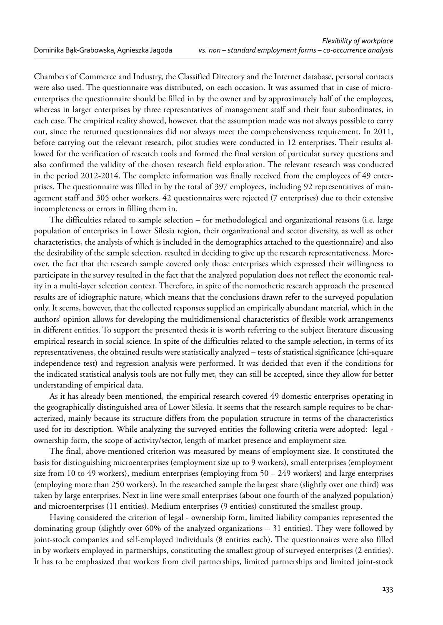Chambers of Commerce and Industry, the Classified Directory and the Internet database, personal contacts were also used. The questionnaire was distributed, on each occasion. It was assumed that in case of microenterprises the questionnaire should be filled in by the owner and by approximately half of the employees, whereas in larger enterprises by three representatives of management staff and their four subordinates, in each case. The empirical reality showed, however, that the assumption made was not always possible to carry out, since the returned questionnaires did not always meet the comprehensiveness requirement. In 2011, before carrying out the relevant research, pilot studies were conducted in 12 enterprises. Their results allowed for the verification of research tools and formed the final version of particular survey questions and also confirmed the validity of the chosen research field exploration. The relevant research was conducted in the period 2012-2014. The complete information was finally received from the employees of 49 enterprises. The questionnaire was filled in by the total of 397 employees, including 92 representatives of management staff and 305 other workers. 42 questionnaires were rejected (7 enterprises) due to their extensive incompleteness or errors in filling them in.

The difficulties related to sample selection – for methodological and organizational reasons (i.e. large population of enterprises in Lower Silesia region, their organizational and sector diversity, as well as other characteristics, the analysis of which is included in the demographics attached to the questionnaire) and also the desirability of the sample selection, resulted in deciding to give up the research representativeness. Moreover, the fact that the research sample covered only those enterprises which expressed their willingness to participate in the survey resulted in the fact that the analyzed population does not reflect the economic reality in a multi-layer selection context. Therefore, in spite of the nomothetic research approach the presented results are of idiographic nature, which means that the conclusions drawn refer to the surveyed population only. It seems, however, that the collected responses supplied an empirically abundant material, which in the authors' opinion allows for developing the multidimensional characteristics of flexible work arrangements in different entities. To support the presented thesis it is worth referring to the subject literature discussing empirical research in social science. In spite of the difficulties related to the sample selection, in terms of its representativeness, the obtained results were statistically analyzed – tests of statistical significance (chi-square independence test) and regression analysis were performed. It was decided that even if the conditions for the indicated statistical analysis tools are not fully met, they can still be accepted, since they allow for better understanding of empirical data.

As it has already been mentioned, the empirical research covered 49 domestic enterprises operating in the geographically distinguished area of Lower Silesia. It seems that the research sample requires to be characterized, mainly because its structure differs from the population structure in terms of the characteristics used for its description. While analyzing the surveyed entities the following criteria were adopted: legal ownership form, the scope of activity/sector, length of market presence and employment size.

The final, above-mentioned criterion was measured by means of employment size. It constituted the basis for distinguishing microenterprises (employment size up to 9 workers), small enterprises (employment size from 10 to 49 workers), medium enterprises (employing from  $50 - 249$  workers) and large enterprises (employing more than 250 workers). In the researched sample the largest share (slightly over one third) was taken by large enterprises. Next in line were small enterprises (about one fourth of the analyzed population) and microenterprises (11 entities). Medium enterprises (9 entities) constituted the smallest group.

Having considered the criterion of legal - ownership form, limited liability companies represented the dominating group (slightly over 60% of the analyzed organizations – 31 entities). They were followed by joint-stock companies and self-employed individuals (8 entities each). The questionnaires were also filled in by workers employed in partnerships, constituting the smallest group of surveyed enterprises (2 entities). It has to be emphasized that workers from civil partnerships, limited partnerships and limited joint-stock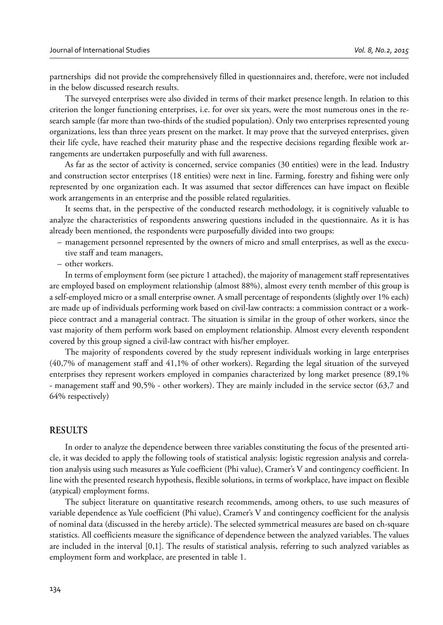partnerships did not provide the comprehensively filled in questionnaires and, therefore, were not included in the below discussed research results.

The surveyed enterprises were also divided in terms of their market presence length. In relation to this criterion the longer functioning enterprises, i.e. for over six years, were the most numerous ones in the research sample (far more than two-thirds of the studied population). Only two enterprises represented young organizations, less than three years present on the market. It may prove that the surveyed enterprises, given their life cycle, have reached their maturity phase and the respective decisions regarding flexible work arrangements are undertaken purposefully and with full awareness.

As far as the sector of activity is concerned, service companies (30 entities) were in the lead. Industry and construction sector enterprises (18 entities) were next in line. Farming, forestry and fishing were only represented by one organization each. It was assumed that sector differences can have impact on flexible work arrangements in an enterprise and the possible related regularities.

It seems that, in the perspective of the conducted research methodology, it is cognitively valuable to analyze the characteristics of respondents answering questions included in the questionnaire. As it is has already been mentioned, the respondents were purposefully divided into two groups:

- management personnel represented by the owners of micro and small enterprises, as well as the executive staff and team managers,
- other workers.

In terms of employment form (see picture 1 attached), the majority of management staff representatives are employed based on employment relationship (almost 88%), almost every tenth member of this group is a self-employed micro or a small enterprise owner. A small percentage of respondents (slightly over 1% each) are made up of individuals performing work based on civil-law contracts: a commission contract or a workpiece contract and a managerial contract. The situation is similar in the group of other workers, since the vast majority of them perform work based on employment relationship. Almost every eleventh respondent covered by this group signed a civil-law contract with his/her employer.

The majority of respondents covered by the study represent individuals working in large enterprises (40,7% of management staff and 41,1% of other workers). Regarding the legal situation of the surveyed enterprises they represent workers employed in companies characterized by long market presence (89,1% - management staff and 90,5% - other workers). They are mainly included in the service sector (63,7 and 64% respectively)

# **RESULTS**

In order to analyze the dependence between three variables constituting the focus of the presented article, it was decided to apply the following tools of statistical analysis: logistic regression analysis and correlation analysis using such measures as Yule coefficient (Phi value), Cramer's V and contingency coefficient. In line with the presented research hypothesis, flexible solutions, in terms of workplace, have impact on flexible (atypical) employment forms.

The subject literature on quantitative research recommends, among others, to use such measures of variable dependence as Yule coefficient (Phi value), Cramer's V and contingency coefficient for the analysis of nominal data (discussed in the hereby article). The selected symmetrical measures are based on ch-square statistics. All coefficients measure the significance of dependence between the analyzed variables. The values are included in the interval [0,1]. The results of statistical analysis, referring to such analyzed variables as employment form and workplace, are presented in table 1.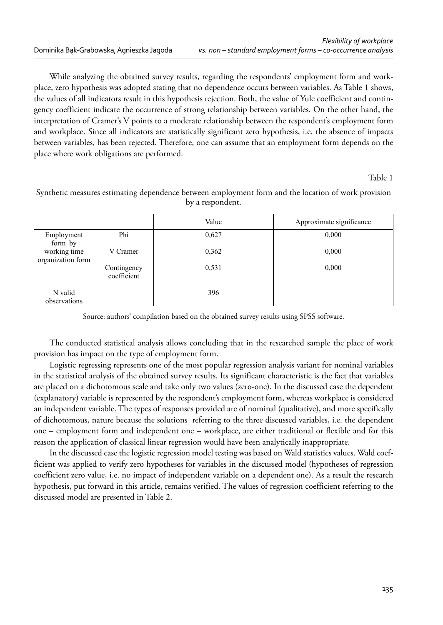While analyzing the obtained survey results, regarding the respondents' employment form and workplace, zero hypothesis was adopted stating that no dependence occurs between variables. As Table 1 shows, the values of all indicators result in this hypothesis rejection. Both, the value of Yule coefficient and contingency coefficient indicate the occurrence of strong relationship between variables. On the other hand, the interpretation of Cramer's V points to a moderate relationship between the respondent's employment form and workplace. Since all indicators are statistically significant zero hypothesis, i.e. the absence of impacts between variables, has been rejected. Therefore, one can assume that an employment form depends on the place where work obligations are performed.

#### Table 1

Synthetic measures estimating dependence between employment form and the location of work provision by a respondent.

|                                   |                            | Value | Approximate significance |
|-----------------------------------|----------------------------|-------|--------------------------|
| Employment<br>form by             | Phi                        | 0,627 | 0,000                    |
| working time<br>organization form | V Cramer                   | 0,362 | 0,000                    |
|                                   | Contingency<br>coefficient | 0,531 | 0,000                    |
| N valid<br>observations           |                            | 396   |                          |

Source: authors' compilation based on the obtained survey results using SPSS software.

The conducted statistical analysis allows concluding that in the researched sample the place of work provision has impact on the type of employment form.

Logistic regressing represents one of the most popular regression analysis variant for nominal variables in the statistical analysis of the obtained survey results. Its significant characteristic is the fact that variables are placed on a dichotomous scale and take only two values (zero-one). In the discussed case the dependent (explanatory) variable is represented by the respondent's employment form, whereas workplace is considered an independent variable. The types of responses provided are of nominal (qualitative), and more specifically of dichotomous, nature because the solutions referring to the three discussed variables, i.e. the dependent one – employment form and independent one – workplace, are either traditional or flexible and for this reason the application of classical linear regression would have been analytically inappropriate.

In the discussed case the logistic regression model testing was based on Wald statistics values. Wald coefficient was applied to verify zero hypotheses for variables in the discussed model (hypotheses of regression coefficient zero value, i.e. no impact of independent variable on a dependent one). As a result the research hypothesis, put forward in this article, remains verified. The values of regression coefficient referring to the discussed model are presented in Table 2.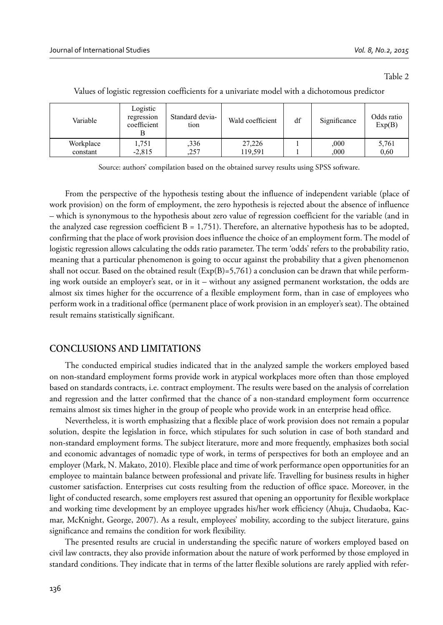Table 2

| Variable  | Logistic<br>regression<br>coefficient | Standard devia-<br>tion | Wald coefficient | df | Significance | Odds ratio<br>Exp(B) |
|-----------|---------------------------------------|-------------------------|------------------|----|--------------|----------------------|
| Workplace | 1.751                                 | ,336                    | 27,226           |    | 000          | 5,761                |
| constant  | $-2,815$                              | ,257                    | 119.591          |    | 000          | 0.60                 |

Values of logistic regression coefficients for a univariate model with a dichotomous predictor

Source: authors' compilation based on the obtained survey results using SPSS software.

From the perspective of the hypothesis testing about the influence of independent variable (place of work provision) on the form of employment, the zero hypothesis is rejected about the absence of influence – which is synonymous to the hypothesis about zero value of regression coefficient for the variable (and in the analyzed case regression coefficient  $B = 1,751$ . Therefore, an alternative hypothesis has to be adopted, confirming that the place of work provision does influence the choice of an employment form. The model of logistic regression allows calculating the odds ratio parameter. The term 'odds' refers to the probability ratio, meaning that a particular phenomenon is going to occur against the probability that a given phenomenon shall not occur. Based on the obtained result  $(Exp(B)=5,761)$  a conclusion can be drawn that while performing work outside an employer's seat, or in it – without any assigned permanent workstation, the odds are almost six times higher for the occurrence of a flexible employment form, than in case of employees who perform work in a traditional office (permanent place of work provision in an employer's seat). The obtained result remains statistically significant.

## **CONCLUSIONS AND LIMITATIONS**

The conducted empirical studies indicated that in the analyzed sample the workers employed based on non-standard employment forms provide work in atypical workplaces more often than those employed based on standards contracts, i.e. contract employment. The results were based on the analysis of correlation and regression and the latter confirmed that the chance of a non-standard employment form occurrence remains almost six times higher in the group of people who provide work in an enterprise head office.

Nevertheless, it is worth emphasizing that a flexible place of work provision does not remain a popular solution, despite the legislation in force, which stipulates for such solution in case of both standard and non-standard employment forms. The subject literature, more and more frequently, emphasizes both social and economic advantages of nomadic type of work, in terms of perspectives for both an employee and an employer (Mark, N. Makato, 2010). Flexible place and time of work performance open opportunities for an employee to maintain balance between professional and private life. Travelling for business results in higher customer satisfaction. Enterprises cut costs resulting from the reduction of office space. Moreover, in the light of conducted research, some employers rest assured that opening an opportunity for flexible workplace and working time development by an employee upgrades his/her work efficiency (Ahuja, Chudaoba, Kacmar, McKnight, George, 2007). As a result, employees' mobility, according to the subject literature, gains significance and remains the condition for work flexibility.

The presented results are crucial in understanding the specific nature of workers employed based on civil law contracts, they also provide information about the nature of work performed by those employed in standard conditions. They indicate that in terms of the latter flexible solutions are rarely applied with refer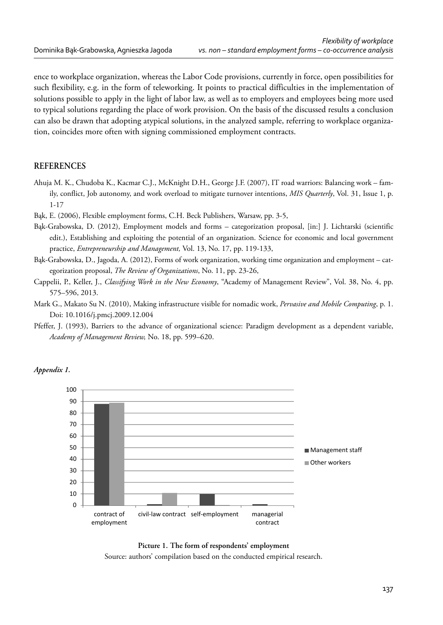ence to workplace organization, whereas the Labor Code provisions, currently in force, open possibilities for such flexibility, e.g. in the form of teleworking. It points to practical difficulties in the implementation of solutions possible to apply in the light of labor law, as well as to employers and employees being more used to typical solutions regarding the place of work provision. On the basis of the discussed results a conclusion can also be drawn that adopting atypical solutions, in the analyzed sample, referring to workplace organization, coincides more often with signing commissioned employment contracts.

#### **REFERENCES**

Ahuja M. K., Chudoba K., Kacmar C.J., McKnight D.H., George J.F. (2007), IT road warriors: Balancing work – family, conflict, Job autonomy, and work overload to mitigate turnover intentions, *MIS Quarterly*, Vol. 31, Issue 1, p. 1-17

Bąk, E. (2006), Flexible employment forms, C.H. Beck Publishers, Warsaw, pp. 3-5,

- Bąk-Grabowska, D. (2012), Employment models and forms categorization proposal, [in:] J. Lichtarski (scientific edit.), Establishing and exploiting the potential of an organization. Science for economic and local government practice, *Entrepreneurship and Management,* Vol. 13, No. 17, pp. 119-133,
- Bąk-Grabowska, D., Jagoda, A. (2012), Forms of work organization, working time organization and employment categorization proposal, *The Review of Organizations*, No. 11, pp. 23-26,
- Cappelii, P., Keller, J., *Classifying Work in the New Economy*, "Academy of Management Review", Vol. 38, No. 4, pp. 575–596, 2013.
- Mark G., Makato Su N. (2010), Making infrastructure visible for nomadic work, *Pervasive and Mobile Computing*, p. 1. Doi: 10.1016/j.pmcj.2009.12.004
- Pfeffer, J. (1993), Barriers to the advance of organizational science: Paradigm development as a dependent variable, *Academy of Management Review,* No. 18, pp. 599–620.







Source: authors' compilation based on the conducted empirical research.